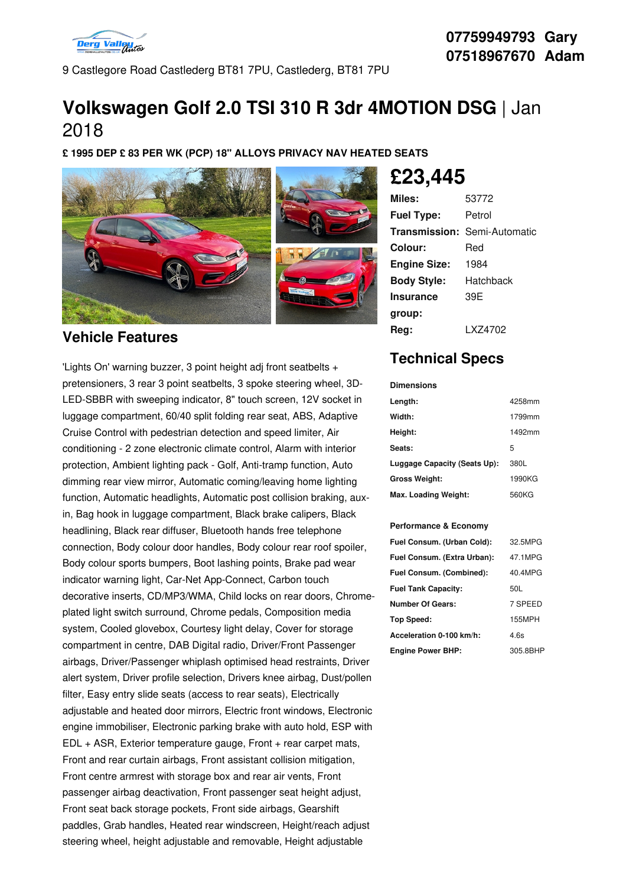

9 Castlegore Road Castlederg BT81 7PU, Castlederg, BT81 7PU

# **Volkswagen Golf 2.0 TSI 310 R 3dr 4MOTION DSG** | Jan 2018

**£ 1995 DEP £ 83 PER WK (PCP) 18" ALLOYS PRIVACY NAV HEATED SEATS**



## **Vehicle Features**

'Lights On' warning buzzer, 3 point height adj front seatbelts + pretensioners, 3 rear 3 point seatbelts, 3 spoke steering wheel, 3D- LED-SBBR with sweeping indicator, 8" touch screen, 12V socket in luggage compartment, 60/40 split folding rear seat, ABS, Adaptive Cruise Control with pedestrian detection and speed limiter, Air conditioning - 2 zone electronic climate control, Alarm with interior protection, Ambient lighting pack - Golf, Anti-tramp function, Auto dimming rear view mirror, Automatic coming/leaving home lighting function, Automatic headlights, Automatic post collision braking, auxin, Bag hook in luggage compartment, Black brake calipers, Black headlining, Black rear diffuser, Bluetooth hands free telephone connection, Body colour door handles, Body colour rear roof spoiler, Body colour sports bumpers, Boot lashing points, Brake pad wear indicator warning light, Car-Net App-Connect, Carbon touch decorative inserts, CD/MP3/WMA, Child locks on rear doors, Chrome plated light switch surround, Chrome pedals, Composition media system, Cooled glovebox, Courtesy light delay, Cover for storage compartment in centre, DAB Digital radio, Driver/Front Passenger airbags, Driver/Passenger whiplash optimised head restraints, Driver alert system, Driver profile selection, Drivers knee airbag, Dust/pollen filter, Easy entry slide seats (access to rear seats), Electrically adjustable and heated door mirrors, Electric front windows, Electronic engine immobiliser, Electronic parking brake with auto hold, ESP with EDL + ASR, Exterior temperature gauge, Front + rear carpet mats, Front and rear curtain airbags, Front assistant collision mitigation, Front centre armrest with storage box and rear air vents, Front passenger airbag deactivation, Front passenger seat height adjust, Front seat back storage pockets, Front side airbags, Gearshift paddles, Grab handles, Heated rear windscreen, Height/reach adjust steering wheel, height adjustable and removable, Height adjustable

**£23,445**

| Miles:              | 53772                               |
|---------------------|-------------------------------------|
| <b>Fuel Type:</b>   | Petrol                              |
|                     | <b>Transmission: Semi-Automatic</b> |
| Colour:             | Red                                 |
| <b>Engine Size:</b> | 1984                                |
| <b>Body Style:</b>  | Hatchback                           |
| Insurance           | 39F                                 |
| group:              |                                     |
| Rea:                | l X74702                            |

# **Technical Specs**

| <b>Dimensions</b>            |        |
|------------------------------|--------|
| Length:                      | 4258mm |
| Width:                       | 1799mm |
| Height:                      | 1492mm |
| Seats:                       | 5      |
| Luggage Capacity (Seats Up): | 380L   |
| <b>Gross Weight:</b>         | 1990KG |
| Max. Loading Weight:         | 560KG  |

#### **Performance & Economy**

| Fuel Consum. (Urban Cold):  | 32.5MPG  |
|-----------------------------|----------|
| Fuel Consum. (Extra Urban): | 47.1MPG  |
| Fuel Consum. (Combined):    | 40.4MPG  |
| <b>Fuel Tank Capacity:</b>  | 50L      |
| <b>Number Of Gears:</b>     | 7 SPEED  |
| Top Speed:                  | 155MPH   |
| Acceleration 0-100 km/h:    | 4.6s     |
| <b>Engine Power BHP:</b>    | 305.8BHP |